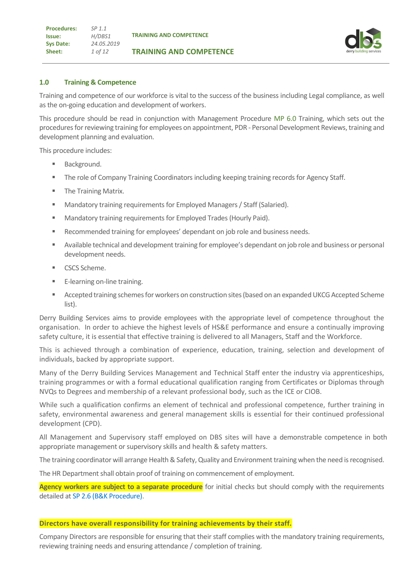**TRAINING AND COMPETENCE**

## **1.0 Training & Competence**

Training and competence of our workforce is vital to the success of the business including Legal compliance, as well as the on-going education and development of workers.

This procedure should be read in conjunction with Management Procedure MP 6.0 Training, which sets out the procedures for reviewing training for employees on appointment, PDR - Personal Development Reviews, training and development planning and evaluation.

This procedure includes:

- Background.
- **The role of Company Training Coordinators including keeping training records for Agency Staff.**
- The Training Matrix.
- Mandatory training requirements for Employed Managers / Staff (Salaried).
- Mandatory training requirements for Employed Trades (Hourly Paid).
- Recommended training for employees' dependant on job role and business needs.
- Available technical and development training for employee's dependant on job role and business or personal development needs.
- CSCS Scheme.
- E-learning on-line training.
- Accepted training schemes for workers on construction sites (based on an expanded UKCG Accepted Scheme list).

Derry Building Services aims to provide employees with the appropriate level of competence throughout the organisation. In order to achieve the highest levels of HS&E performance and ensure a continually improving safety culture, it is essential that effective training is delivered to all Managers, Staff and the Workforce.

This is achieved through a combination of experience, education, training, selection and development of individuals, backed by appropriate support.

Many of the Derry Building Services Management and Technical Staff enter the industry via apprenticeships, training programmes or with a formal educational qualification ranging from Certificates or Diplomas through NVQs to Degrees and membership of a relevant professional body, such as the ICE or CIOB.

While such a qualification confirms an element of technical and professional competence, further training in safety, environmental awareness and general management skills is essential for their continued professional development (CPD).

All Management and Supervisory staff employed on DBS sites will have a demonstrable competence in both appropriate management or supervisory skills and health & safety matters.

The training coordinator will arrange Health & Safety, Quality and Environment training when the need is recognised.

The HR Department shall obtain proof of training on commencement of employment.

**Agency workers are subject to a separate procedure** for initial checks but should comply with the requirements detailed at SP 2.6 (B&K Procedure).

#### **Directors have overall responsibility for training achievements by their staff.**

Company Directors are responsible for ensuring that their staff complies with the mandatory training requirements, reviewing training needs and ensuring attendance / completion of training.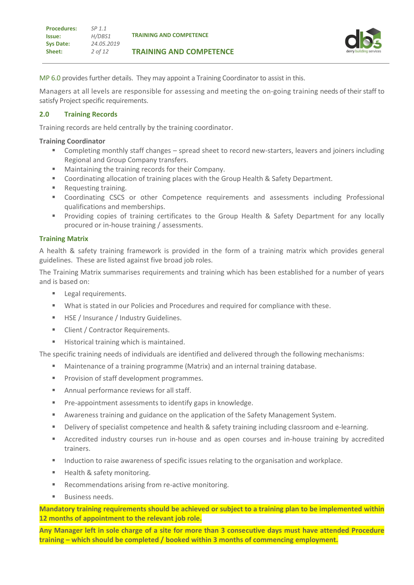

MP 6.0 provides further details. They may appoint a Training Coordinator to assist in this.

Managers at all levels are responsible for assessing and meeting the on-going training needs of their staff to satisfy Project specific requirements.

## **2.0 Training Records**

Training records are held centrally by the training coordinator.

#### **Training Coordinator**

- Completing monthly staff changes spread sheet to record new-starters, leavers and joiners including Regional and Group Company transfers.
- Maintaining the training records for their Company.
- Coordinating allocation of training places with the Group Health & Safety Department.
- Requesting training.
- Coordinating CSCS or other Competence requirements and assessments including Professional qualifications and memberships.
- Providing copies of training certificates to the Group Health & Safety Department for any locally procured or in-house training / assessments.

## **Training Matrix**

A health & safety training framework is provided in the form of a training matrix which provides general guidelines. These are listed against five broad job roles.

The Training Matrix summarises requirements and training which has been established for a number of years and is based on:

- **EXEC** Legal requirements.
- What is stated in our Policies and Procedures and required for compliance with these.
- HSE / Insurance / Industry Guidelines.
- Client / Contractor Requirements.
- Historical training which is maintained.

The specific training needs of individuals are identified and delivered through the following mechanisms:

- Maintenance of a training programme (Matrix) and an internal training database.
- Provision of staff development programmes.
- Annual performance reviews for all staff.
- Pre-appointment assessments to identify gaps in knowledge.
- Awareness training and guidance on the application of the Safety Management System.
- Delivery of specialist competence and health & safety training including classroom and e-learning.
- **EXECT** Accredited industry courses run in-house and as open courses and in-house training by accredited trainers.
- Induction to raise awareness of specific issues relating to the organisation and workplace.
- Health & safety monitoring.
- Recommendations arising from re-active monitoring.
- Business needs.

**Mandatory training requirements should be achieved or subject to a training plan to be implemented within 12 months of appointment to the relevant job role.**

**Any Manager left in sole charge of a site for more than 3 consecutive days must have attended Procedure training – which should be completed / booked within 3 months of commencing employment.**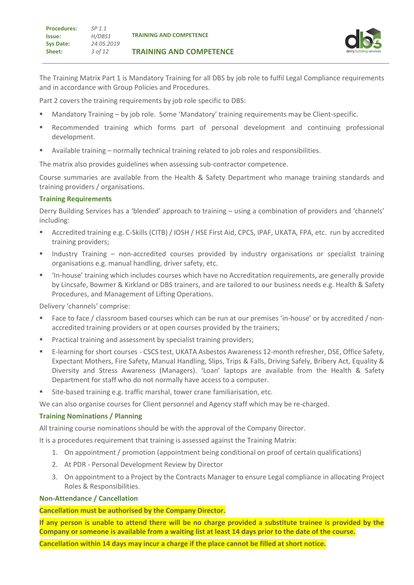The Training Matrix Part 1 is Mandatory Training for all DBS by job role to fulfil Legal Compliance requirements and in accordance with Group Policies and Procedures.

Part 2 covers the training requirements by job role specific to DBS:

- Mandatory Training by job role. Some 'Mandatory' training requirements may be Client-specific.
- **EXECOMMENDED Recommended training which forms part of personal development and continuing professional** development.
- Available training normally technical training related to job roles and responsibilities.

The matrix also provides guidelines when assessing sub-contractor competence.

Course summaries are available from the Health & Safety Department who manage training standards and training providers / organisations.

## **Training Requirements**

Derry Building Services has a 'blended' approach to training – using a combination of providers and 'channels' including:

- Accredited training e.g. C-Skills (CITB) / IOSH / HSE First Aid, CPCS, IPAF, UKATA, FPA, etc. run by accredited training providers;
- **E** Industry Training non-accredited courses provided by industry organisations or specialist training organisations e.g. manual handling, driver safety, etc.
- 'In-house' training which includes courses which have no Accreditation requirements, are generally provide by Lincsafe, Bowmer & Kirkland or DBS trainers, and are tailored to our business needs e.g. Health & Safety Procedures, and Management of Lifting Operations.

Delivery 'channels' comprise:

- Face to face / classroom based courses which can be run at our premises 'in-house' or by accredited / nonaccredited training providers or at open courses provided by the trainers;
- **Practical training and assessment by specialist training providers;**
- E-learning for short courses CSCS test, UKATA Asbestos Awareness 12-month refresher, DSE, Office Safety, Expectant Mothers, Fire Safety, Manual Handling, Slips, Trips & Falls, Driving Safely, Bribery Act, Equality & Diversity and Stress Awareness (Managers). 'Loan' laptops are available from the Health & Safety Department for staff who do not normally have access to a computer.
- Site-based training e.g. traffic marshal, tower crane familiarisation, etc.

We can also organise courses for Client personnel and Agency staff which may be re-charged.

#### **Training Nominations / Planning**

All training course nominations should be with the approval of the Company Director.

It is a procedures requirement that training is assessed against the Training Matrix:

- 1. On appointment / promotion (appointment being conditional on proof of certain qualifications)
- 2. At PDR Personal Development Review by Director
- 3. On appointment to a Project by the Contracts Manager to ensure Legal compliance in allocating Project Roles & Responsibilities.

#### **Non-Attendance / Cancellation**

#### **Cancellation must be authorised by the Company Director.**

**If any person is unable to attend there will be no charge provided a substitute trainee is provided by the Company or someone is available from a waiting list at least 14 days prior to the date of the course.**

**Cancellation within 14 days may incur a charge if the place cannot be filled at short notice.**

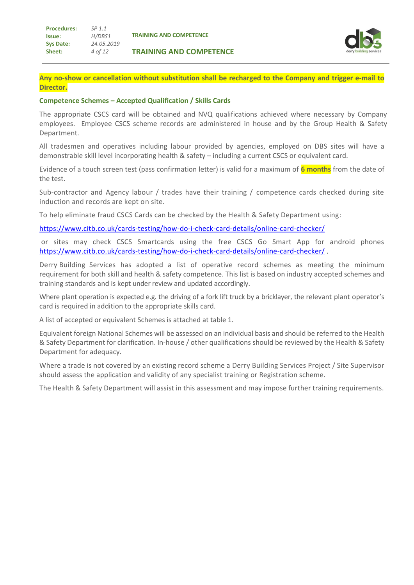**TRAINING AND COMPETENCE**



**Any no-show or cancellation without substitution shall be recharged to the Company and trigger e-mail to Director.**

#### **Competence Schemes – Accepted Qualification / Skills Cards**

The appropriate CSCS card will be obtained and NVQ qualifications achieved where necessary by Company employees. Employee CSCS scheme records are administered in house and by the Group Health & Safety Department.

All tradesmen and operatives including labour provided by agencies, employed on DBS sites will have a demonstrable skill level incorporating health & safety – including a current CSCS or equivalent card.

Evidence of a touch screen test (pass confirmation letter) is valid for a maximum of **6 months** from the date of the test.

Sub-contractor and Agency labour / trades have their training / competence cards checked during site induction and records are kept on site.

To help eliminate fraud CSCS Cards can be checked by the Health & Safety Department using:

<https://www.citb.co.uk/cards-testing/how-do-i-check-card-details/online-card-checker/>

or sites may check CSCS Smartcards using the free CSCS Go Smart App for android phones <https://www.citb.co.uk/cards-testing/how-do-i-check-card-details/online-card-checker/> .

Derry Building Services has adopted a list of operative record schemes as meeting the minimum requirement for both skill and health & safety competence. This list is based on industry accepted schemes and training standards and is kept under review and updated accordingly.

Where plant operation is expected e.g. the driving of a fork lift truck by a bricklayer, the relevant plant operator's card is required in addition to the appropriate skills card.

A list of accepted or equivalent Schemes is attached at table 1.

Equivalent foreign National Schemes will be assessed on an individual basis and should be referred to the Health & Safety Department for clarification. In-house / other qualifications should be reviewed by the Health & Safety Department for adequacy.

Where a trade is not covered by an existing record scheme a Derry Building Services Project / Site Supervisor should assess the application and validity of any specialist training or Registration scheme.

The Health & Safety Department will assist in this assessment and may impose further training requirements.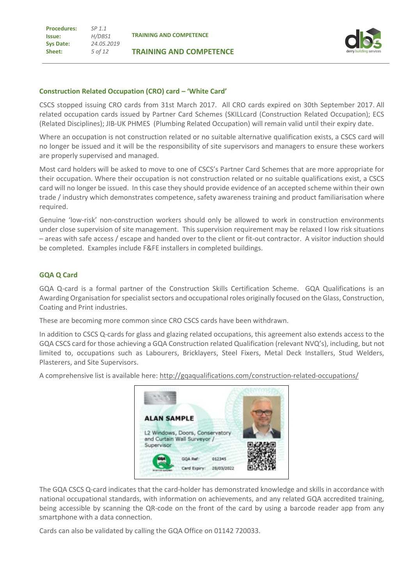**Procedures: Issue: Sys Date: Sheet:** *SP 1.1 H/DBS1 24.05.2019 5 of 12*

**TRAINING AND COMPETENCE**



#### **Construction Related Occupation (CRO) card – 'White Card'**

CSCS stopped issuing CRO cards from 31st March 2017.All CRO cards expired on 30th September 2017. All related occupation cards issued by Partner Card Schemes (SKILLcard (Construction Related Occupation); ECS (Related Disciplines); JIB-UK PHMES (Plumbing Related Occupation) will remain valid until their expiry date.

Where an occupation is not construction related or no suitable alternative qualification exists, a CSCS card will no longer be issued and it will be the responsibility of site supervisors and managers to ensure these workers are properly supervised and managed.

Most card holders will be asked to move to one of CSCS's Partner Card Schemes that are more appropriate for their occupation. Where their occupation is not construction related or no suitable qualifications exist, a CSCS card will no longer be issued. In this case they should provide evidence of an accepted scheme within their own trade / industry which demonstrates competence, safety awareness training and product familiarisation where required.

Genuine 'low-risk' non-construction workers should only be allowed to work in construction environments under close supervision of site management. This supervision requirement may be relaxed I low risk situations – areas with safe access / escape and handed over to the client or fit-out contractor. A visitor induction should be completed. Examples include F&FE installers in completed buildings.

#### **GQA Q Card**

GQA Q-card is a formal partner of the Construction Skills Certification Scheme. GQA Qualifications is an Awarding Organisation for specialist sectors and occupational roles originally focused on the Glass, Construction, Coating and Print industries.

These are becoming more common since CRO CSCS cards have been withdrawn.

In addition to CSCS Q-cards for glass and glazing related occupations, this agreement also extends access to the GQA CSCS card for those achieving a GQA Construction related Qualification (relevant NVQ's), including, but not limited to, occupations such as Labourers, Bricklayers, Steel Fixers, Metal Deck Installers, Stud Welders, Plasterers, and Site Supervisors.

A comprehensive list is available here[: http://gqaqualifications.com/construction-related-occupations/](http://gqaqualifications.com/construction-related-occupations/)



The GQA CSCS Q-card indicates that the card-holder has demonstrated knowledge and skills in accordance with national occupational standards, with information on achievements, and any related GQA accredited training, being accessible by scanning the QR-code on the front of the card by using a barcode reader app from any smartphone with a data connection.

Cards can also be validated by calling the GQA Office on 01142 720033.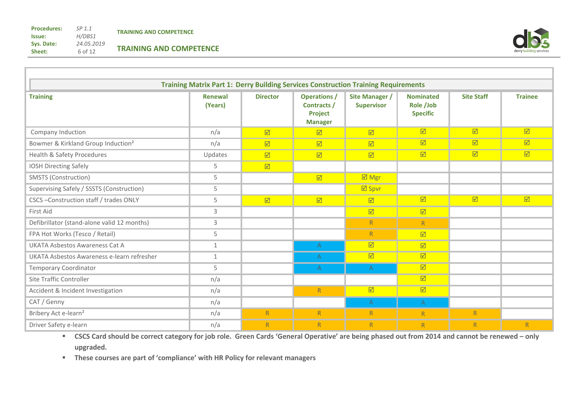**Sheet:**

*24.05.2019* 6 of 12 **TRAINING AND COMPETENCE**



| <b>Training Matrix Part 1: Derry Building Services Construction Training Requirements</b> |                    |                         |                                                                 |                                            |                                                  |                         |                         |  |  |
|-------------------------------------------------------------------------------------------|--------------------|-------------------------|-----------------------------------------------------------------|--------------------------------------------|--------------------------------------------------|-------------------------|-------------------------|--|--|
| <b>Training</b>                                                                           | Renewal<br>(Years) | <b>Director</b>         | <b>Operations /</b><br>Contracts /<br>Project<br><b>Manager</b> | <b>Site Manager /</b><br><b>Supervisor</b> | <b>Nominated</b><br>Role /Job<br><b>Specific</b> | <b>Site Staff</b>       | <b>Trainee</b>          |  |  |
| Company Induction                                                                         | n/a                | $\boxed{\mathbf{N}}$    | ☑                                                               | $\boxed{\triangledown}$                    | $\overline{\boxtimes}$                           | $\boxed{\text{M}}$      | $\boxed{\text{M}}$      |  |  |
| Bowmer & Kirkland Group Induction <sup>2</sup>                                            | n/a                | $\boxed{\text{M}}$      | $\boxed{\mathbf{v}}$                                            | $\triangledown$                            | $\boxed{\mathbb{Z}}$                             | $\boxed{\text{M}}$      | $\triangleright$        |  |  |
| Health & Safety Procedures                                                                | Updates            | $\boxed{\mathbf{v}}$    | $\boxed{\text{M}}$                                              | $\boxed{\mathbf{v}}$                       | $\boxed{\mathcal{N}}$                            | $\boxed{\mathbf{v}}$    | $\boxed{\text{M}}$      |  |  |
| <b>IOSH Directing Safely</b>                                                              | 5                  | $\boxed{\triangledown}$ |                                                                 |                                            |                                                  |                         |                         |  |  |
| SMSTS (Construction)                                                                      | 5                  |                         | $\boxed{\mathbf{v}}$                                            | $\boxdot$ Mgr                              |                                                  |                         |                         |  |  |
| Supervising Safely / SSSTS (Construction)                                                 | 5                  |                         |                                                                 | $\boxdot$ Spvr                             |                                                  |                         |                         |  |  |
| CSCS-Construction staff / trades ONLY                                                     | 5                  | $\boxed{\triangledown}$ | $\boxed{\mathbf{v}}$                                            | $\triangledown$                            | $\boxed{\mathbb{Z}}$                             | $\boxed{\triangledown}$ | $\overline{\mathbf{M}}$ |  |  |
| First Aid                                                                                 | 3                  |                         |                                                                 | $\boxed{\mathbb{Z}}$                       | $\boxed{\mathcal{N}}$                            |                         |                         |  |  |
| Defibrillator (stand-alone valid 12 months)                                               | 3                  |                         |                                                                 | R                                          | R                                                |                         |                         |  |  |
| FPA Hot Works (Tesco / Retail)                                                            | 5                  |                         |                                                                 | R                                          | $\boxed{\mathcal{N}}$                            |                         |                         |  |  |
| UKATA Asbestos Awareness Cat A                                                            | 1                  |                         | A                                                               | $\boxed{\mathbf{N}}$                       | $\boxed{\mathbf{M}}$                             |                         |                         |  |  |
| UKATA Asbestos Awareness e-learn refresher                                                | 1                  |                         | A                                                               | $\boxed{\mathbf{N}}$                       | $\boxed{\mathbf{v}}$                             |                         |                         |  |  |
| <b>Temporary Coordinator</b>                                                              | 5                  |                         | A                                                               | $\mathsf{A}$                               | $\boxed{\mathbf{v}}$                             |                         |                         |  |  |
| Site Traffic Controller                                                                   | n/a                |                         |                                                                 |                                            | $\boxed{\mathbf{v}}$                             |                         |                         |  |  |
| Accident & Incident Investigation                                                         | n/a                |                         | R                                                               | $\triangledown$                            | $\boxed{\mathbf{v}}$                             |                         |                         |  |  |
| CAT / Genny                                                                               | n/a                |                         |                                                                 | $\mathsf{A}$                               | $\mathsf{A}$                                     |                         |                         |  |  |
| Bribery Act e-learn <sup>2</sup>                                                          | n/a                | R                       | $\mathsf{R}$                                                    | R                                          | R                                                | $\overline{R}$          |                         |  |  |
| Driver Safety e-learn                                                                     | n/a                | R                       | R                                                               | R                                          | R                                                | R                       | R                       |  |  |

▪ **CSCS Card should be correct category for job role. Green Cards 'General Operative' are being phased out from 2014 and cannot be renewed – only upgraded.**

▪ **These courses are part of 'compliance' with HR Policy for relevant managers**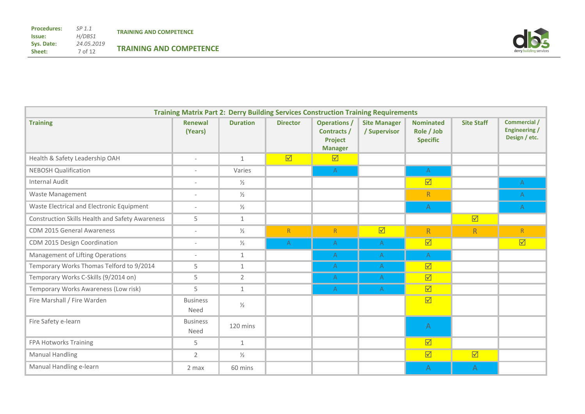

| <b>Training Matrix Part 2: Derry Building Services Construction Training Requirements</b> |                           |                 |                         |                                                                       |                                     |                                                   |                         |                                                       |
|-------------------------------------------------------------------------------------------|---------------------------|-----------------|-------------------------|-----------------------------------------------------------------------|-------------------------------------|---------------------------------------------------|-------------------------|-------------------------------------------------------|
| <b>Training</b>                                                                           | <b>Renewal</b><br>(Years) | <b>Duration</b> | <b>Director</b>         | <b>Operations /</b><br>Contracts /<br>Project<br><b>Manager</b>       | <b>Site Manager</b><br>/ Supervisor | <b>Nominated</b><br>Role / Job<br><b>Specific</b> | <b>Site Staff</b>       | Commercial /<br><b>Engineering /</b><br>Design / etc. |
| Health & Safety Leadership OAH                                                            | $\overline{\phantom{a}}$  | $\mathbf{1}$    | $\overline{\mathbf{M}}$ | $\overline{\mathbf{M}}$                                               |                                     |                                                   |                         |                                                       |
| <b>NEBOSH Qualification</b>                                                               | $\overline{\phantom{a}}$  | Varies          |                         | $\mathsf{A}% _{\mathsf{A}}^{\prime}=\mathsf{A}_{\mathsf{A}}^{\prime}$ |                                     | A                                                 |                         |                                                       |
| <b>Internal Audit</b>                                                                     | $\overline{\phantom{a}}$  | $\frac{1}{2}$   |                         |                                                                       |                                     | $\overline{\mathbf{M}}$                           |                         | $\mathsf{A}$                                          |
| Waste Management                                                                          | $\overline{\phantom{a}}$  | $\frac{1}{2}$   |                         |                                                                       |                                     | R                                                 |                         | $\mathsf{A}$                                          |
| Waste Electrical and Electronic Equipment                                                 | $\overline{\phantom{a}}$  | $\frac{1}{2}$   |                         |                                                                       |                                     | $\mathsf{A}$                                      |                         | $\mathsf{A}$                                          |
| <b>Construction Skills Health and Safety Awareness</b>                                    | 5                         | $\mathbf{1}$    |                         |                                                                       |                                     |                                                   | $\overline{\mathbf{M}}$ |                                                       |
| <b>CDM 2015 General Awareness</b>                                                         | $\overline{\phantom{a}}$  | $\frac{1}{2}$   | $\overline{R}$          | ${\sf R}$                                                             | $\overline{\mathbf{M}}$             | $\overline{R}$                                    | R                       | $\overline{R}$                                        |
| CDM 2015 Design Coordination                                                              | $\overline{\phantom{a}}$  | $\frac{1}{2}$   | A                       | A                                                                     | $\mathsf{A}$                        | $\overline{\mathbf{M}}$                           |                         | $\overline{\mathbf{M}}$                               |
| Management of Lifting Operations                                                          | $\overline{\phantom{a}}$  | $\mathbf{1}$    |                         | $\mathsf{A}$                                                          | $\mathsf{A}$                        | $\mathsf{A}$                                      |                         |                                                       |
| Temporary Works Thomas Telford to 9/2014                                                  | 5                         | $\mathbf{1}$    |                         | A                                                                     | A                                   | $\overline{\mathbf{M}}$                           |                         |                                                       |
| Temporary Works C-Skills (9/2014 on)                                                      | 5                         | $\overline{2}$  |                         | A                                                                     | A                                   | $\overline{\mathbf{M}}$                           |                         |                                                       |
| Temporary Works Awareness (Low risk)                                                      | 5                         | $\mathbf{1}$    |                         | A                                                                     | A                                   | $\overline{\mathbf{M}}$                           |                         |                                                       |
| Fire Marshall / Fire Warden                                                               | <b>Business</b><br>Need   | $\frac{1}{2}$   |                         |                                                                       |                                     | $\overline{\mathbf{M}}$                           |                         |                                                       |
| Fire Safety e-learn                                                                       | <b>Business</b><br>Need   | 120 mins        |                         |                                                                       |                                     | $\overline{A}$                                    |                         |                                                       |
| FPA Hotworks Training                                                                     | 5                         | $\mathbf{1}$    |                         |                                                                       |                                     | $\overline{\mathbf{M}}$                           |                         |                                                       |
| <b>Manual Handling</b>                                                                    | $\overline{2}$            | $\frac{1}{2}$   |                         |                                                                       |                                     | $\overline{\mathbf{M}}$                           | $\overline{\mathbf{M}}$ |                                                       |
| Manual Handling e-learn                                                                   | 2 max                     | 60 mins         |                         |                                                                       |                                     | A                                                 | A                       |                                                       |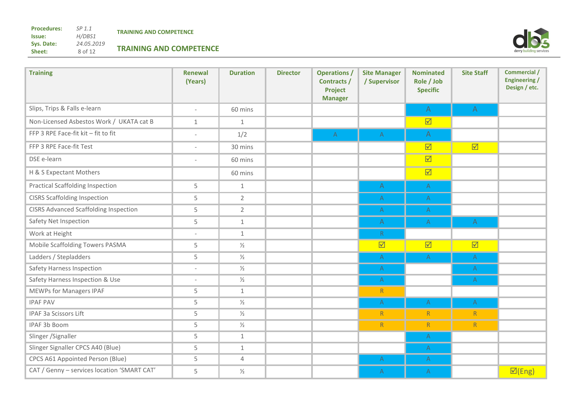**Procedures: Issue: Sys. Date: Sheet:**

*SP 1.1 H/DBS1 24.05.2019* 8 of 12



| <b>Training</b>                              | <b>Renewal</b><br>(Years) | <b>Duration</b> | <b>Director</b> | <b>Operations /</b><br>Contracts /<br><b>Project</b><br><b>Manager</b> | <b>Site Manager</b><br>/ Supervisor | <b>Nominated</b><br>Role / Job<br><b>Specific</b>                  | <b>Site Staff</b>       | <b>Commercial /</b><br><b>Engineering /</b><br>Design / etc. |
|----------------------------------------------|---------------------------|-----------------|-----------------|------------------------------------------------------------------------|-------------------------------------|--------------------------------------------------------------------|-------------------------|--------------------------------------------------------------|
| Slips, Trips & Falls e-learn                 | $\overline{\phantom{a}}$  | 60 mins         |                 |                                                                        |                                     | A                                                                  | $\mathsf{A}$            |                                                              |
| Non-Licensed Asbestos Work / UKATA cat B     | $\mathbf{1}$              | $\mathbf{1}$    |                 |                                                                        |                                     | $\overline{\mathbf{M}}$                                            |                         |                                                              |
| FFP 3 RPE Face-fit kit - fit to fit          | $\overline{\phantom{a}}$  | 1/2             |                 | $\mathsf{A}$                                                           | $\mathsf{A}$                        | A                                                                  |                         |                                                              |
| FFP 3 RPE Face-fit Test                      | $\overline{\phantom{a}}$  | 30 mins         |                 |                                                                        |                                     | $\overline{\mathbf{M}}$                                            | $\overline{\mathbf{M}}$ |                                                              |
| DSE e-learn                                  | $\overline{\phantom{a}}$  | 60 mins         |                 |                                                                        |                                     | $\overline{\boxtimes}$                                             |                         |                                                              |
| H & S Expectant Mothers                      |                           | 60 mins         |                 |                                                                        |                                     | $\overline{\boxtimes}$                                             |                         |                                                              |
| <b>Practical Scaffolding Inspection</b>      | 5                         | $\mathbf{1}$    |                 |                                                                        | $\mathsf{A}$                        | $\overline{A}$                                                     |                         |                                                              |
| <b>CISRS Scaffolding Inspection</b>          | 5                         | $\overline{2}$  |                 |                                                                        | $\mathsf{A}$                        | $\mathsf{A}$                                                       |                         |                                                              |
| <b>CISRS Advanced Scaffolding Inspection</b> | 5                         | $\overline{2}$  |                 |                                                                        | $\mathsf{A}$                        | $\mathsf{A}$                                                       |                         |                                                              |
| Safety Net Inspection                        | 5                         | $\mathbf{1}$    |                 |                                                                        | A                                   | $\mathsf{A}$                                                       | A                       |                                                              |
| Work at Height                               | $\bar{a}$                 | $\mathbf{1}$    |                 |                                                                        | $\mathsf R$                         |                                                                    |                         |                                                              |
| Mobile Scaffolding Towers PASMA              | 5                         | $\frac{1}{2}$   |                 |                                                                        | $\overline{\mathbf{M}}$             | $\overline{\mathbf{M}}$                                            | $\overline{\mathbf{M}}$ |                                                              |
| Ladders / Stepladders                        | 5                         | $\frac{1}{2}$   |                 |                                                                        | $\mathsf{A}$                        | A                                                                  | $\mathsf{A}$            |                                                              |
| Safety Harness Inspection                    | $\overline{\phantom{a}}$  | $\frac{1}{2}$   |                 |                                                                        | $\mathsf{A}$                        |                                                                    | A                       |                                                              |
| Safety Harness Inspection & Use              | $\overline{\phantom{a}}$  | $\frac{1}{2}$   |                 |                                                                        | $\mathsf{A}$                        |                                                                    | $\mathsf{A}$            |                                                              |
| <b>MEWPs for Managers IPAF</b>               | 5                         | $\mathbf{1}$    |                 |                                                                        | R                                   |                                                                    |                         |                                                              |
| <b>IPAF PAV</b>                              | 5                         | $\frac{1}{2}$   |                 |                                                                        | $\mathsf{A}$                        | $\mathsf{A}$                                                       | A                       |                                                              |
| IPAF 3a Scissors Lift                        | 5                         | $\frac{1}{2}$   |                 |                                                                        | R                                   | R                                                                  | $\mathsf R$             |                                                              |
| IPAF 3b Boom                                 | 5                         | $\frac{1}{2}$   |                 |                                                                        | R                                   | R                                                                  | R                       |                                                              |
| Slinger / Signaller                          | 5                         | $\mathbf{1}$    |                 |                                                                        |                                     | $\mathsf{A}$                                                       |                         |                                                              |
| Slinger Signaller CPCS A40 (Blue)            | 5                         | $\mathbf{1}$    |                 |                                                                        |                                     | $\mathsf{A}$                                                       |                         |                                                              |
| CPCS A61 Appointed Person (Blue)             | 5                         | $\overline{4}$  |                 |                                                                        | $\mathsf{A}$                        | $\mathsf{A}% _{\mathsf{A}}^{\mathsf{A}}\!\left( \mathsf{A}\right)$ |                         |                                                              |
| CAT / Genny - services location 'SMART CAT'  | 5                         | $\frac{1}{2}$   |                 |                                                                        | $\mathsf{A}$                        | A                                                                  |                         | $\overline{\boxtimes}$ (Eng)                                 |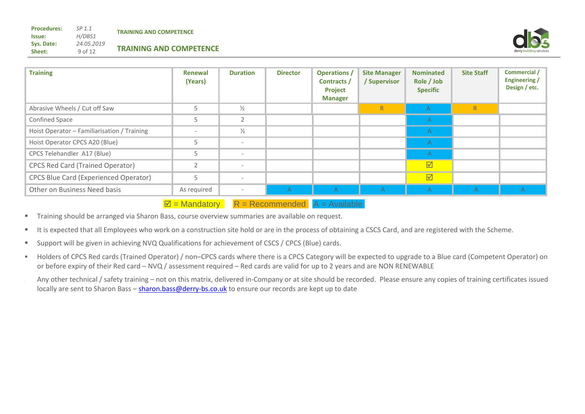*24.05.2019* 9 of 12

**Issue: Sys. Date: Sheet:**

**Procedures:**

| <b>Training</b>                              | Renewal<br>(Years)       | <b>Duration</b>          | <b>Director</b> | <b>Operations</b> /<br>Contracts /<br><b>Project</b><br><b>Manager</b> | <b>Site Manager</b><br>/ Supervisor | <b>Nominated</b><br>Role / Job<br><b>Specific</b> | <b>Site Staff</b> | Commercial /<br>Engineering /<br>Design / etc. |
|----------------------------------------------|--------------------------|--------------------------|-----------------|------------------------------------------------------------------------|-------------------------------------|---------------------------------------------------|-------------------|------------------------------------------------|
| Abrasive Wheels / Cut off Saw                | 5                        | $\frac{1}{2}$            |                 |                                                                        | R                                   | $\mathsf{A}$                                      | $\mathsf{R}$      |                                                |
| <b>Confined Space</b>                        | 5                        | $\sim$                   |                 |                                                                        |                                     | $\mathsf{A}$                                      |                   |                                                |
| Hoist Operator - Familiarisation / Training  | $\overline{\phantom{a}}$ | $\frac{1}{2}$            |                 |                                                                        |                                     | $\mathsf{A}$                                      |                   |                                                |
| Hoist Operator CPCS A20 (Blue)               | 5                        | $\overline{\phantom{a}}$ |                 |                                                                        |                                     | A                                                 |                   |                                                |
| CPCS Telehandler A17 (Blue)                  | 5                        | $\overline{\phantom{a}}$ |                 |                                                                        |                                     | A                                                 |                   |                                                |
| <b>CPCS Red Card (Trained Operator)</b>      | $\overline{2}$           | $\overline{\phantom{a}}$ |                 |                                                                        |                                     | $\overline{\mathbb{M}}$                           |                   |                                                |
| <b>CPCS Blue Card (Experienced Operator)</b> | 5                        | $\overline{\phantom{a}}$ |                 |                                                                        |                                     | $\overline{\mathbf{M}}$                           |                   |                                                |
| Other on Business Need basis                 | As required              | $\overline{\phantom{a}}$ | A               | A                                                                      | $\mathsf{A}$                        | A                                                 | $\mathcal{A}$     | A                                              |

 $\overline{M}$  = Mandatory  $R$  = Recommended  $A$  = Available

- **Training should be arranged via Sharon Bass, course overview summaries are available on request.**
- It is expected that all Employees who work on a construction site hold or are in the process of obtaining a CSCS Card, and are registered with the Scheme.
- Support will be given in achieving NVQ Qualifications for achievement of CSCS / CPCS (Blue) cards.
- Holders of CPCS Red cards (Trained Operator) / non–CPCS cards where there is a CPCS Category will be expected to upgrade to a Blue card (Competent Operator) on or before expiry of their Red card – NVQ / assessment required – Red cards are valid for up to 2 years and are NON RENEWABLE
- Any other technical / safety training not on this matrix, delivered in-Company or at site should be recorded. Please ensure any copies of training certificates issued locally are sent to Sharon Bass - [sharon.bass@derry-bs.co.uk](mailto:sharon.bass@derry-bs.co.uk) to ensure our records are kept up to date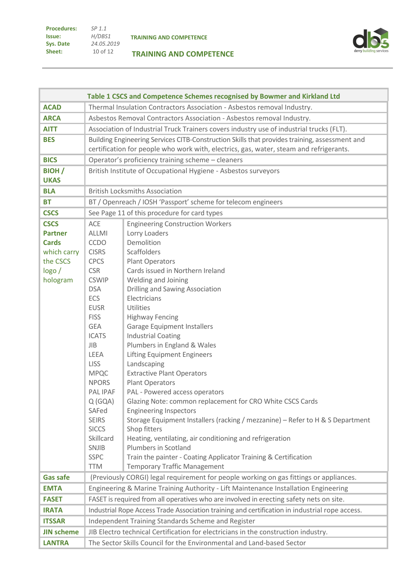| <b>Procedures:</b> | SP <sub>1.1</sub> |
|--------------------|-------------------|
| lssue:             | H/DBS1            |
| Sys. Date          | 24.05.2019        |
| Sheet:             | 10 of 12          |

# **TRAINING AND COMPETENCE**



|                   |                                                                       | Table 1 CSCS and Competence Schemes recognised by Bowmer and Kirkland Ltd                      |  |  |  |  |
|-------------------|-----------------------------------------------------------------------|------------------------------------------------------------------------------------------------|--|--|--|--|
| <b>ACAD</b>       |                                                                       | Thermal Insulation Contractors Association - Asbestos removal Industry.                        |  |  |  |  |
| <b>ARCA</b>       |                                                                       | Asbestos Removal Contractors Association - Asbestos removal Industry.                          |  |  |  |  |
| <b>AITT</b>       |                                                                       | Association of Industrial Truck Trainers covers industry use of industrial trucks (FLT).       |  |  |  |  |
| <b>BES</b>        |                                                                       | Building Engineering Services CITB-Construction Skills that provides training, assessment and  |  |  |  |  |
|                   |                                                                       | certification for people who work with, electrics, gas, water, steam and refrigerants.         |  |  |  |  |
| <b>BICS</b>       |                                                                       | Operator's proficiency training scheme - cleaners                                              |  |  |  |  |
| <b>BIOH</b>       |                                                                       | British Institute of Occupational Hygiene - Asbestos surveyors                                 |  |  |  |  |
| <b>UKAS</b>       |                                                                       |                                                                                                |  |  |  |  |
| <b>BLA</b>        |                                                                       | <b>British Locksmiths Association</b>                                                          |  |  |  |  |
| <b>BT</b>         |                                                                       | BT / Openreach / IOSH 'Passport' scheme for telecom engineers                                  |  |  |  |  |
| <b>CSCS</b>       |                                                                       | See Page 11 of this procedure for card types                                                   |  |  |  |  |
| <b>CSCS</b>       | ACE                                                                   | <b>Engineering Construction Workers</b>                                                        |  |  |  |  |
| <b>Partner</b>    | <b>ALLMI</b>                                                          | Lorry Loaders                                                                                  |  |  |  |  |
| <b>Cards</b>      | <b>CCDO</b>                                                           | Demolition                                                                                     |  |  |  |  |
| which carry       | <b>CISRS</b>                                                          | Scaffolders                                                                                    |  |  |  |  |
| the CSCS          | <b>CPCS</b>                                                           | <b>Plant Operators</b>                                                                         |  |  |  |  |
| logo/             | <b>CSR</b>                                                            | Cards issued in Northern Ireland                                                               |  |  |  |  |
| hologram          | <b>CSWIP</b>                                                          | Welding and Joining                                                                            |  |  |  |  |
|                   | <b>DSA</b>                                                            | <b>Drilling and Sawing Association</b>                                                         |  |  |  |  |
|                   | ECS                                                                   | Electricians                                                                                   |  |  |  |  |
|                   | <b>EUSR</b>                                                           | Utilities                                                                                      |  |  |  |  |
|                   | <b>FISS</b>                                                           | <b>Highway Fencing</b>                                                                         |  |  |  |  |
|                   | <b>GEA</b>                                                            | <b>Garage Equipment Installers</b>                                                             |  |  |  |  |
|                   | <b>ICATS</b>                                                          | <b>Industrial Coating</b>                                                                      |  |  |  |  |
|                   | <b>JIB</b>                                                            | Plumbers in England & Wales                                                                    |  |  |  |  |
|                   | LEEA                                                                  | <b>Lifting Equipment Engineers</b>                                                             |  |  |  |  |
|                   | <b>LISS</b>                                                           | Landscaping                                                                                    |  |  |  |  |
|                   | <b>MPQC</b>                                                           | <b>Extractive Plant Operators</b>                                                              |  |  |  |  |
|                   | <b>NPORS</b>                                                          | <b>Plant Operators</b>                                                                         |  |  |  |  |
|                   | PAL IPAF                                                              | PAL - Powered access operators                                                                 |  |  |  |  |
|                   | Q(GQA)                                                                | Glazing Note: common replacement for CRO White CSCS Cards                                      |  |  |  |  |
|                   | SAFed                                                                 | <b>Engineering Inspectors</b>                                                                  |  |  |  |  |
|                   | <b>SEIRS</b>                                                          | Storage Equipment Installers (racking / mezzanine) - Refer to H & S Department                 |  |  |  |  |
|                   | <b>SICCS</b><br>Skillcard                                             | Shop fitters                                                                                   |  |  |  |  |
|                   | <b>SNJIB</b>                                                          | Heating, ventilating, air conditioning and refrigeration<br>Plumbers in Scotland               |  |  |  |  |
|                   | <b>SSPC</b>                                                           | Train the painter - Coating Applicator Training & Certification                                |  |  |  |  |
|                   | <b>TTM</b>                                                            | <b>Temporary Traffic Management</b>                                                            |  |  |  |  |
| <b>Gas safe</b>   |                                                                       | (Previously CORGI) legal requirement for people working on gas fittings or appliances.         |  |  |  |  |
| <b>EMTA</b>       |                                                                       | Engineering & Marine Training Authority - Lift Maintenance Installation Engineering            |  |  |  |  |
| <b>FASET</b>      |                                                                       | FASET is required from all operatives who are involved in erecting safety nets on site.        |  |  |  |  |
| <b>IRATA</b>      |                                                                       | Industrial Rope Access Trade Association training and certification in industrial rope access. |  |  |  |  |
| <b>ITSSAR</b>     |                                                                       | Independent Training Standards Scheme and Register                                             |  |  |  |  |
| <b>JIN scheme</b> |                                                                       | JIB Electro technical Certification for electricians in the construction industry.             |  |  |  |  |
| <b>LANTRA</b>     | The Sector Skills Council for the Environmental and Land-based Sector |                                                                                                |  |  |  |  |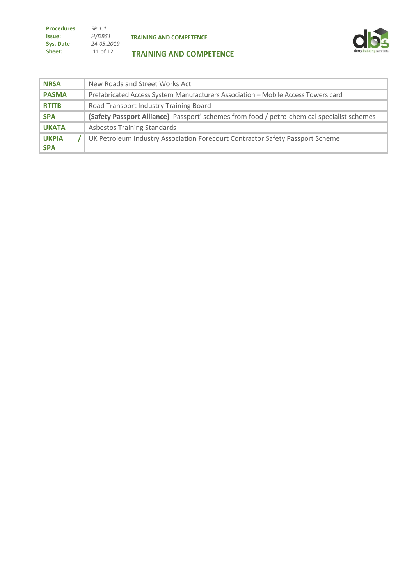| <b>Procedures:</b> | SP <sub>1.1</sub> |
|--------------------|-------------------|
| Issue:             | H/DBS1            |
| Sys. Date          | 24.05.2019        |
| Sheet:             | 11 of 12          |



#### **TRAINING AND COMPETENCE**

| <b>NRSA</b>                | New Roads and Street Works Act                                                              |
|----------------------------|---------------------------------------------------------------------------------------------|
| <b>PASMA</b>               | Prefabricated Access System Manufacturers Association - Mobile Access Towers card           |
| <b>RTITB</b>               | Road Transport Industry Training Board                                                      |
| <b>SPA</b>                 | (Safety Passport Alliance) 'Passport' schemes from food / petro-chemical specialist schemes |
| <b>UKATA</b>               | <b>Asbestos Training Standards</b>                                                          |
| <b>UKPIA</b><br><b>SPA</b> | UK Petroleum Industry Association Forecourt Contractor Safety Passport Scheme               |